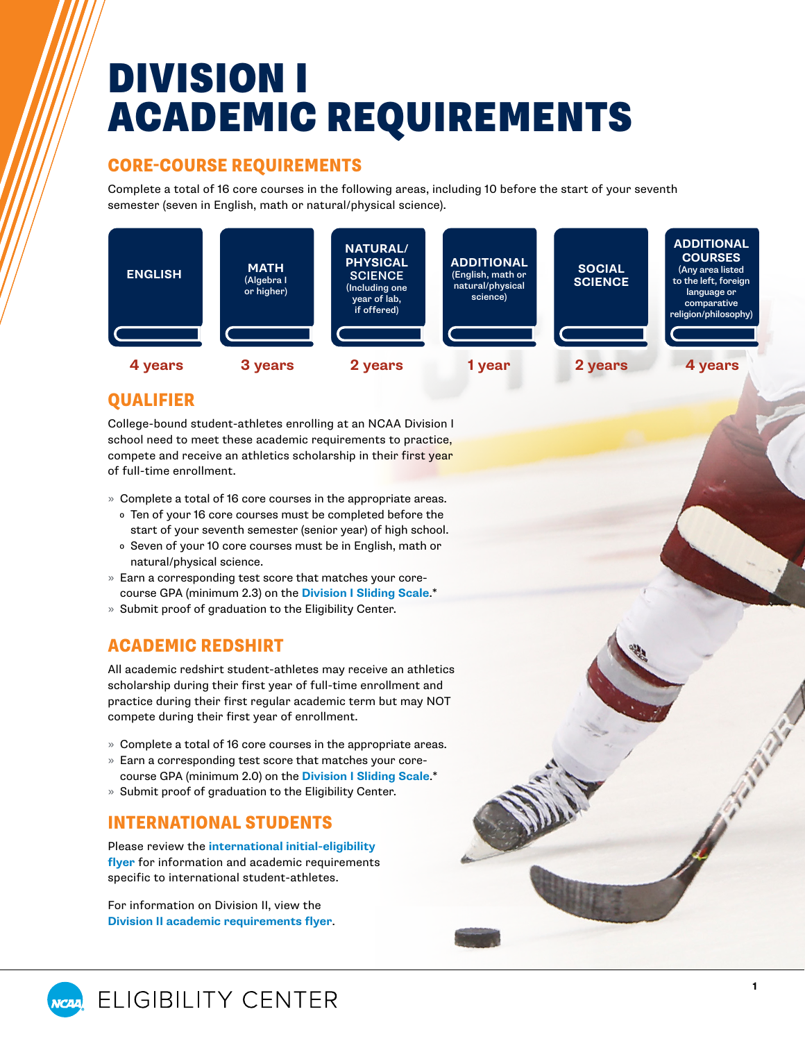# DIVISION I ACADEMIC REQUIREMENTS

#### CORE-COURSE REQUIREMENTS

Complete a total of 16 core courses in the following areas, including 10 before the start of your seventh semester (seven in English, math or natural/physical science).



**1**

### QUALIFIER

College-bound student-athletes enrolling at an NCAA Division I school need to meet these academic requirements to practice, compete and receive an athletics scholarship in their first year of full-time enrollment.

- » Complete a total of 16 core courses in the appropriate areas.
	- ₀ Ten of your 16 core courses must be completed before the start of your seventh semester (senior year) of high school.
	- ₀ Seven of your 10 core courses must be in English, math or natural/physical science.
- » Earn a corresponding test score that matches your corecourse GPA (minimum 2.3) on the **[Division I Sliding Scale](#page-1-0)**.\*
- » Submit proof of graduation to the Eligibility Center.

#### ACADEMIC REDSHIRT

All academic redshirt student-athletes may receive an athletics scholarship during their first year of full-time enrollment and practice during their first regular academic term but may NOT compete during their first year of enrollment.

- » Complete a total of 16 core courses in the appropriate areas.
- » Earn a corresponding test score that matches your corecourse GPA (minimum 2.0) on the **[Division I Sliding Scale](#page-1-0)**.\*
- » Submit proof of graduation to the Eligibility Center.

#### INTERNATIONAL STUDENTS

Please review the **[international initial-eligibility](https://on.ncaa.com/IntlIE) [flyer](https://on.ncaa.com/IntlIE)** for information and academic requirements specific to international student-athletes.

For information on Division II, view the **[Division II academic requirements flyer](https://on.ncaa.com/DIIAcademicReq)**.